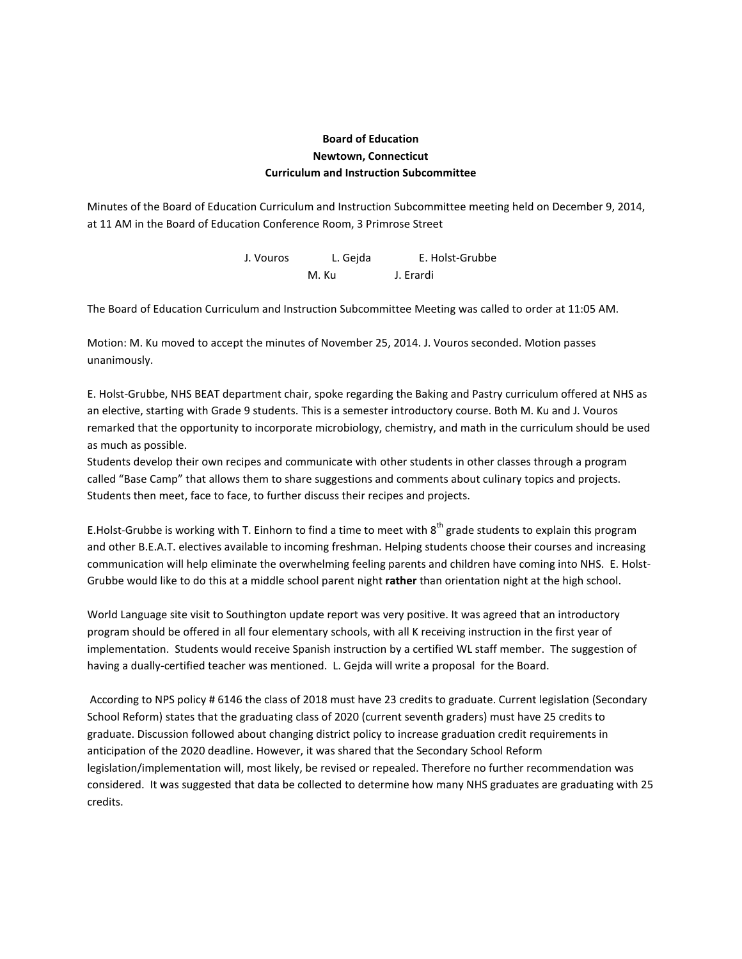## **Board of Education Newtown, Connecticut Curriculum and Instruction Subcommittee**

Minutes of the Board of Education Curriculum and Instruction Subcommittee meeting held on December 9, 2014, at 11 AM in the Board of Education Conference Room, 3 Primrose Street

> J. Vouros L. Gejda E. Holst-Grubbe M. Ku J. Erardi

The Board of Education Curriculum and Instruction Subcommittee Meeting was called to order at 11:05 AM.

Motion: M. Ku moved to accept the minutes of November 25, 2014. J. Vouros seconded. Motion passes unanimously.

E. Holst-Grubbe, NHS BEAT department chair, spoke regarding the Baking and Pastry curriculum offered at NHS as an elective, starting with Grade 9 students. This is a semester introductory course. Both M. Ku and J. Vouros remarked that the opportunity to incorporate microbiology, chemistry, and math in the curriculum should be used as much as possible.

Students develop their own recipes and communicate with other students in other classes through a program called "Base Camp" that allows them to share suggestions and comments about culinary topics and projects. Students then meet, face to face, to further discuss their recipes and projects.

E.Holst-Grubbe is working with T. Einhorn to find a time to meet with  $8^{th}$  grade students to explain this program and other B.E.A.T. electives available to incoming freshman. Helping students choose their courses and increasing communication will help eliminate the overwhelming feeling parents and children have coming into NHS. E. Holst-Grubbe would like to do this at a middle school parent night **rather** than orientation night at the high school.

World Language site visit to Southington update report was very positive. It was agreed that an introductory program should be offered in all four elementary schools, with all K receiving instruction in the first year of implementation. Students would receive Spanish instruction by a certified WL staff member. The suggestion of having a dually-certified teacher was mentioned. L. Gejda will write a proposal for the Board.

According to NPS policy # 6146 the class of 2018 must have 23 credits to graduate. Current legislation (Secondary School Reform) states that the graduating class of 2020 (current seventh graders) must have 25 credits to graduate. Discussion followed about changing district policy to increase graduation credit requirements in anticipation of the 2020 deadline. However, it was shared that the Secondary School Reform legislation/implementation will, most likely, be revised or repealed. Therefore no further recommendation was considered. It was suggested that data be collected to determine how many NHS graduates are graduating with 25 credits.